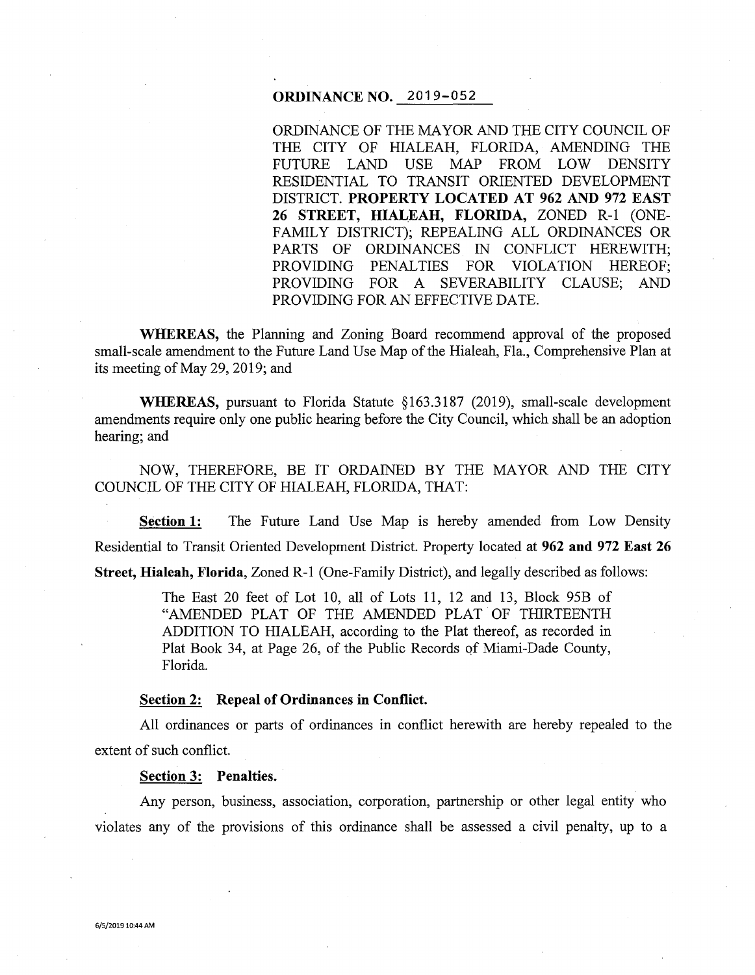## **ORDINANCE NO.** 2019-052

ORDINANCE OF THE MAYOR AND THE CITY COUNCIL OF THE CITY OF HIALEAH, FLORIDA, AMENDING THE FUTURE LAND USE MAP FROM LOW DENSITY RESIDENTIAL TO TRANSIT ORIENTED DEVELOPMENT DISTRICT. **PROPERTY LOCATED AT 962 AND 972 EAST 26 STREET, HIALEAH, FLORIDA,** ZONED R-1 (ONE-FAMILY DISTRICT); REPEALING ALL ORDINANCES OR PARTS OF ORDINANCES IN CONFLICT HEREWITH; PROVIDING PENALTIES FOR VIOLATION HEREOF; PROVIDING FOR A SEVERABILITY CLAUSE; AND PROVIDING FOR AN EFFECTIVE DATE.

**WHEREAS,** the Planning and Zoning Board recommend approval of the proposed small-scale amendment to the Future Land Use Map of the Hialeah, Fla., Comprehensive Plan at its meeting of May 29, 2019; and

**WHEREAS,** pursuant to Florida Statute §163.3187 (2019), small-scale development amendments require only one public hearing before the City Council, which shall be an adoption hearing; and

NOW, THEREFORE, BE IT ORDAINED BY THE MAYOR AND THE CITY COUNCIL OF THE CITY OF HIALEAH, FLORIDA, THAT:

**Section 1:** The Future Land Use Map is hereby amended from Low Density Residential to Transit Oriented Development District. Property located at **962 and 972 East 26 Street, Hialeah, Florida,** Zoned R-1 (One-Family District), and legally described as follows:

> The East 20 feet of Lot 10, all of Lots 11, 12 and 13, Block 95B of "AMENDED PLAT OF THE AMENDED PLAT OF THIRTEENTH ADDITION TO HIALEAH, according to the Plat thereof, as recorded in Plat Book 34, at Page 26, of the Public Records qf Miami-Dade County, Florida.

#### **Section 2: Repeal of Ordinances in Conflict.**

All ordinances or parts of ordinances in conflict herewith are hereby repealed to the extent of such conflict.

### **Section 3: Penalties.**

Any person, business, association, corporation, partnership or other legal entity who violates any of the provisions of this ordinance shall be assessed a civil penalty, up to a